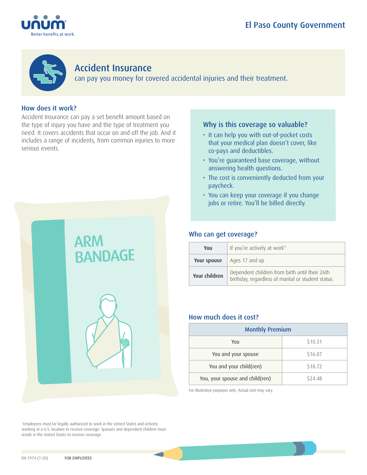



## Accident Insurance

can pay you money for covered accidental injuries and their treatment.

## How does it work?

Accident Insurance can pay a set benefit amount based on the type of injury you have and the type of treatment you need. It covers accidents that occur on and off the job. And it includes a range of incidents, from common injuries to more serious events.



\*Employees must be legally authorized to work in the United States and actively working at a U.S. location to receive coverage. Spouses and dependent children must reside in the United States to receive coverage.

## Why is this coverage so valuable?

- It can help you with out-of-pocket costs that your medical plan doesn't cover, like co-pays and deductibles.
- You're guaranteed base coverage, without answering health questions.
- The cost is conveniently deducted from your paycheck.
- You can keep your coverage if you change jobs or retire. You'll be billed directly.

## Who can get coverage?

| You           | If you're actively at work*                                                                          |  |  |
|---------------|------------------------------------------------------------------------------------------------------|--|--|
| Your spouse   | Ages 17 and up                                                                                       |  |  |
| Your children | Dependent children from birth until their 26th<br>birthday, regardless of marital or student status. |  |  |

## How much does it cost?

| <b>Monthly Premium</b>          |         |  |
|---------------------------------|---------|--|
| You                             | \$10.31 |  |
| You and your spouse             | \$16.07 |  |
| You and your child(ren)         | \$18.72 |  |
| You, your spouse and child(ren) | \$24.48 |  |

For illustrative purposes only. Actual cost may vary.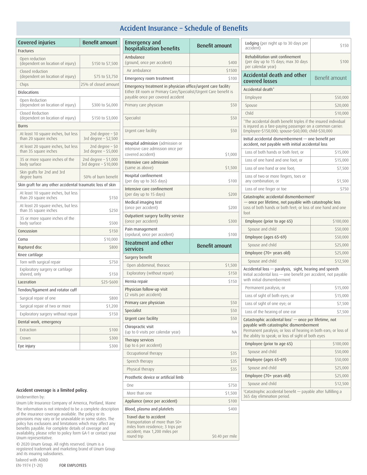## Accident Insurance – Schedule of Benefits

| Covered injuries                                                                                         | <b>Benefit amount</b>                         |  |
|----------------------------------------------------------------------------------------------------------|-----------------------------------------------|--|
| Fractures                                                                                                |                                               |  |
| Open reduction<br>(dependent on location of injury)                                                      | \$150 to \$7,500                              |  |
| Closed reduction<br>(dependent on location of injury)                                                    | \$75 to \$3,750                               |  |
| Chips                                                                                                    | 25% of closed amount                          |  |
| Dislocations                                                                                             |                                               |  |
| Open Reduction<br>(dependent on location of injury)<br>\$300 to \$6,000                                  |                                               |  |
| Closed Reduction<br>(dependent on location of injury)                                                    | \$150 to \$3,000                              |  |
| <b>Burns</b>                                                                                             |                                               |  |
| At least 10 square inches, but less<br>2nd degree $-50$<br>than 20 square inches<br>3rd degree - \$2,500 |                                               |  |
| 2nd degree $-50$<br>At least 20 square inches, but less<br>than 35 square inches<br>3rd degree - \$5,000 |                                               |  |
| 35 or more square inches of the<br>body surface                                                          | 2nd degree - \$1,000<br>3rd degree - \$10,000 |  |
| Skin grafts for 2nd and 3rd<br>degree burns                                                              | 50% of burn benefit                           |  |
| Skin graft for any other accidental traumatic loss of skin                                               |                                               |  |
| At least 10 square inches, but less<br>than 20 square inches                                             | \$150                                         |  |
| At least 20 square inches, but less<br>than 35 square inches<br>\$250                                    |                                               |  |
| 35 or more square inches of the<br>body surface<br>\$500                                                 |                                               |  |
| Concussion<br>\$150                                                                                      |                                               |  |
| \$10,000<br>Coma                                                                                         |                                               |  |
| Ruptured disc                                                                                            | \$800                                         |  |
| Knee cartilage                                                                                           |                                               |  |
| Torn with surgical repair                                                                                | \$750                                         |  |
| Exploratory surgery or cartilage<br>shaved, only                                                         | \$150                                         |  |
| Laceration                                                                                               | \$25-\$600                                    |  |
| Tendon/ligament and rotator cuff                                                                         |                                               |  |
| Surgical repair of one<br>\$800                                                                          |                                               |  |
| Surgical repair of two or more                                                                           | \$1,200                                       |  |
| Exploratory surgery without repair<br>\$150                                                              |                                               |  |
| Dental work, emergency                                                                                   |                                               |  |
| Extraction                                                                                               | \$100                                         |  |
| Crown                                                                                                    | \$300                                         |  |
| Eye injury                                                                                               | \$300                                         |  |

#### Accident coverage is a limited policy.

Underwritten by:

Unum Life Insurance Company of America, Portland, Maine The information is not intended to be a complete description of the insurance coverage available. The policy or its provisions may vary or be unavailable in some states. The policy has exclusions and limitations which may affect any benefits payable. For complete details of coverage and availability, please refer to policy form GA-1 or contact your Unum representative.

© 2020 Unum Group. All rights reserved. Unum is a registered trademark and marketing brand of Unum Group and its insuring subsidiaries.

| Tailored with AD&D |
|--------------------|
| EN-1974 (1-20)     |

(1-20) FOR EMPLOYEES

| <b>Emergency and</b>                                                                                                                                                  | <b>Benefit amount</b> |
|-----------------------------------------------------------------------------------------------------------------------------------------------------------------------|-----------------------|
| hospitalization benefits                                                                                                                                              |                       |
| Ambulance<br>(ground, once per accident)                                                                                                                              | \$400                 |
| Air ambulance                                                                                                                                                         | \$1500                |
| Emergency room treatment                                                                                                                                              | \$100                 |
| Emergency treatment in physician office/urgent care facility<br>Either ER room or Primary Care/Specialist/Urgent Care benefit is<br>payable once per covered accident |                       |
| Primary care physician                                                                                                                                                | \$50                  |
| Specialist                                                                                                                                                            | \$50                  |
| Urgent care facility                                                                                                                                                  | \$50                  |
| Hospital admission (admission or<br>intensive care admission once per<br>covered accident)                                                                            | \$1,000               |
| Intensive care admission<br>(same as above)                                                                                                                           | \$1,500               |
| Hospital confinement<br>(per day up to 365 days)                                                                                                                      | \$100                 |
| Intensive care confinement<br>(per day up to 15 days)                                                                                                                 | \$200                 |
| Medical imaging test<br>(once per accident)                                                                                                                           | \$200                 |
| Outpatient surgery facility service<br>(once per accident)                                                                                                            | \$300                 |
| Pain management<br>(epidural, once per accident)                                                                                                                      | \$100                 |
| <b>Treatment and other</b><br>services                                                                                                                                | <b>Benefit amount</b> |
| Surgery benefit                                                                                                                                                       |                       |
| Open abdominal, thoracic                                                                                                                                              |                       |
|                                                                                                                                                                       | \$1,500               |
| Exploratory (without repair)                                                                                                                                          | \$150                 |
| Hernia repair                                                                                                                                                         | \$150                 |
| Physician follow-up visit<br>(2 visits per accident)                                                                                                                  |                       |
| Primary care physician                                                                                                                                                | \$50                  |
| Specialist                                                                                                                                                            | \$50                  |
| Urgent care facility                                                                                                                                                  | \$50                  |
| Chiropractic visit<br>(up to 0 visits per calendar year)                                                                                                              | ΝA                    |
| Therapy services<br>(up to 6 per accident)                                                                                                                            |                       |
| Occupational therapy                                                                                                                                                  | \$35                  |
| Speech therapy                                                                                                                                                        | \$35                  |
| Physical therapy                                                                                                                                                      | \$35                  |
| Prosthetic device or artificial limb                                                                                                                                  |                       |
| <b>One</b>                                                                                                                                                            | \$750                 |
| More than one                                                                                                                                                         | \$1,500               |
| Appliance (once per accident)                                                                                                                                         | \$100                 |
| Blood, plasma and platelets                                                                                                                                           | \$400                 |

| Lodging (per night up to 30 days per<br>accident)                                                                                                                                                                                        | \$150          |  |  |
|------------------------------------------------------------------------------------------------------------------------------------------------------------------------------------------------------------------------------------------|----------------|--|--|
| Rehabilitation unit confinement<br>(per day up to 15 days; max 30 days<br>per calendar year)                                                                                                                                             | \$100          |  |  |
| <b>Accidental death and other</b><br>covered losses                                                                                                                                                                                      | Benefit amount |  |  |
| Accidental death*                                                                                                                                                                                                                        |                |  |  |
| Employee                                                                                                                                                                                                                                 | \$50,000       |  |  |
| Spouse                                                                                                                                                                                                                                   | \$20,000       |  |  |
| Child                                                                                                                                                                                                                                    | \$10,000       |  |  |
| *The accidental death benefit triples if the insured individual<br>is injured as a fare-paying passenger on a common carrier:<br>Employee-\$150,000; spouse-\$60,000; child-\$30,000                                                     |                |  |  |
| Initial accidental dismemberment - one benefit per<br>accident, not payable with initial accidental loss                                                                                                                                 |                |  |  |
| Loss of both hands or both feet; or                                                                                                                                                                                                      | \$15,000       |  |  |
| Loss of one hand and one foot; or                                                                                                                                                                                                        | \$15,000       |  |  |
| Loss of one hand or one foot:                                                                                                                                                                                                            | \$7,500        |  |  |
| Loss of two or more fingers, toes or<br>any combination; or<br>\$1,500                                                                                                                                                                   |                |  |  |
| Loss of one finger or toe                                                                                                                                                                                                                | \$750          |  |  |
| - once per lifetime, not payable with catastrophic loss<br>Loss of both hands or both feet: or loss of one hand and one<br>foot<br>Employee (prior to age 65)<br>\$100,000                                                               |                |  |  |
| Spouse and child                                                                                                                                                                                                                         | \$50,000       |  |  |
| Employee (ages 65-69)                                                                                                                                                                                                                    | \$50,000       |  |  |
| Spouse and child                                                                                                                                                                                                                         | \$25,000       |  |  |
| Employee (70+ years old)                                                                                                                                                                                                                 | \$25,000       |  |  |
| Spouse and child                                                                                                                                                                                                                         | \$12,500       |  |  |
| Accidental loss - paralysis, sight, hearing and speech<br>Initial accidental loss - one benefit per accident, not payable<br>with initial dismemberment                                                                                  |                |  |  |
| Permanent paralysis; or                                                                                                                                                                                                                  | \$15,000       |  |  |
| Loss of sight of both eyes; or                                                                                                                                                                                                           | \$15,000       |  |  |
| Loss of sight of one eye; or                                                                                                                                                                                                             | \$7,500        |  |  |
| Loss of the hearing of one ear                                                                                                                                                                                                           | \$7,500        |  |  |
| Catastrophic accidental loss <sup>†</sup> - once per lifetime, not<br>payable with catastrophic dismemberment<br>Permanent paralysis; or loss of hearing in both ears; or loss of<br>the ability to speak; or loss of sight of both eyes |                |  |  |
| Employee (prior to age 65)                                                                                                                                                                                                               | \$100,000      |  |  |
| Spouse and child                                                                                                                                                                                                                         | \$50,000       |  |  |
| Employee (ages 65-69)                                                                                                                                                                                                                    | \$50,000       |  |  |
| Spouse and child                                                                                                                                                                                                                         | \$25,000       |  |  |
| Employee (70+ years old)                                                                                                                                                                                                                 | \$25,000       |  |  |
| Spouse and child                                                                                                                                                                                                                         | \$12,500       |  |  |
| <sup>†</sup> Catastrophic accidental benefit - payable after fulfilling a<br>365 day elimination period.                                                                                                                                 |                |  |  |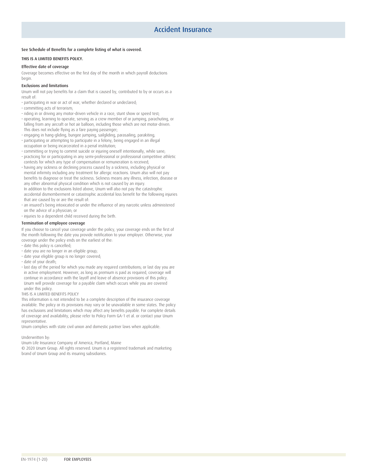#### See Schedule of Benefits for a complete listing of what is covered.

#### THIS IS A LIMITED BENEFITS POLICY.

#### Effective date of coverage

Coverage becomes effective on the first day of the month in which payroll deductions begin.

#### Exclusions and limitations

Unum will not pay benefits for a claim that is caused by, contributed to by or occurs as a result of:

- participating in war or act of war, whether declared or undeclared;
- committing acts of terrorism;
- riding in or driving any motor-driven vehicle in a race, stunt show or speed test;
- operating, learning to operate, serving as a crew member of or jumping, parachuting, or falling from any aircraft or hot air balloon, including those which are not motor-driven. This does not include flying as a fare paying passenger;
- engaging in hang-gliding, bungee jumping, sailgliding, parasailing, parakiting;
- participating or attempting to participate in a felony, being engaged in an illegal occupation or being incarcerated in a penal institution;
- committing or trying to commit suicide or injuring oneself intentionally, while sane;
- practicing for or participating in any semi-professional or professional competitive athletic contests for which any type of compensation or remuneration is received;
- having any sickness or declining process caused by a sickness, including physical or mental infirmity including any treatment for allergic reactions. Unum also will not pay benefits to diagnose or treat the sickness. Sickness means any illness, infection, disease or any other abnormal physical condition which is not caused by an injury. In addition to the exclusions listed above, Unum will also not pay the catastrophic accidental dismemberment or catastrophic accidental loss benefit for the following injuries that are caused by or are the result of:
- an insured's being intoxicated or under the influence of any narcotic unless administered on the advice of a physician; or
- injuries to a dependent child received during the birth.

#### Termination of employee coverage

If you choose to cancel your coverage under the policy, your coverage ends on the first of the month following the date you provide notification to your employer. Otherwise, your coverage under the policy ends on the earliest of the:

- date this policy is cancelled;
- date you are no longer in an eligible group;
- date your eligible group is no longer covered;
- date of your death;
- last day of the period for which you made any required contributions; or last day you are in active employment. However, as long as premium is paid as required, coverage will continue in accordance with the layoff and leave of absence provisions of this policy. Unum will provide coverage for a payable claim which occurs while you are covered under this policy.

#### THIS IS A LIMITED BENEFITS POLICY

This information is not intended to be a complete description of the insurance coverage available. The policy or its provisions may vary or be unavailable in some states. The policy has exclusions and limitations which may affect any benefits payable. For complete details of coverage and availability, please refer to Policy Form GA-1 et al. or contact your Unum representative.

Unum complies with state civil union and domestic partner laws when applicable.

#### Underwritten by:

Unum Life Insurance Company of America, Portland, Maine

© 2020 Unum Group. All rights reserved. Unum is a registered trademark and marketing brand of Unum Group and its insuring subsidiaries.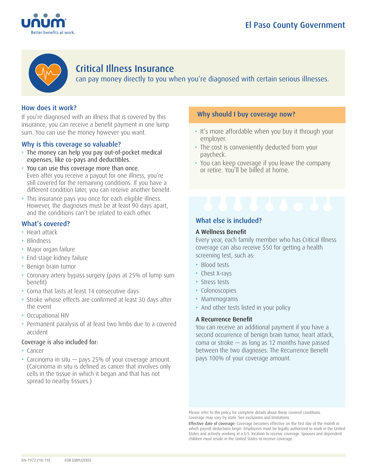



## Critical Illness Insurance

can pay money directly to you when you're diagnosed with certain serious illnesses.

## How does it work?

If you're diagnosed with an illness that is covered by this insurance, you can receive a benefit payment in one lump sum. You can use the money however you want.

## Why is this coverage so valuable?

- The money can help you pay out-of-pocket medical expenses, like co-pays and deductibles.
- You can use this coverage more than once. Even after you receive a payout for one illness, you're still covered for the remaining conditions. If you have a different condition later, you can receive another benefit.
- This insurance pays you once for each eligible illness. However, the diagnoses must be at least 90 days apart, and the conditions can't be related to each other.

## What's covered?

- Heart attack
- Blindness
- Major organ failure
- End-stage kidney failure
- Benign brain tumor
- Coronary artery bypass surgery (pays at 25% of lump sum benefit)
- Coma that lasts at least 14 consecutive days
- Stroke whose effects are confirmed at least 30 days after the event
- Occupational HIV
- Permanent paralysis of at least two limbs due to a covered accident

## Coverage is also included for:

- Cancer
- Carcinoma in situ pays 25% of your coverage amount. (Carcinoma in situ is defined as cancer that involves only cells in the tissue in which it began and that has not spread to nearby tissues.)

## Why should I buy coverage now?

- It's more affordable when you buy it through your employer.
- The cost is conveniently deducted from your paycheck.
- You can keep coverage if you leave the company or retire. You'll be billed at home.

## What else is included?

## A Wellness Benefit

Every year, each family member who has Critical Illness coverage can also receive \$50 for getting a health screening test, such as:

- Blood tests
- Chest X-rays
- Stress tests
- Colonoscopies
- Mammograms
- And other tests listed in your policy

## A Recurrence Benefit

You can receive an additional payment if you have a second occurrence of benign brain tumor, heart attack, coma or stroke — as long as 12 months have passed between the two diagnoses. The Recurrence Benefit pays 100% of your coverage amount.

Please refer to the policy for complete details about these covered conditions. Coverage may vary by state. See exclusions and limitations.

Effective date of coverage: Coverage becomes effective on the first day of the month in which payroll deductions begin. Employees must be legally authorized to work in the United States and actively working at a U.S. location to receive coverage. Spouses and dependent children must reside in the United States to receive coverage.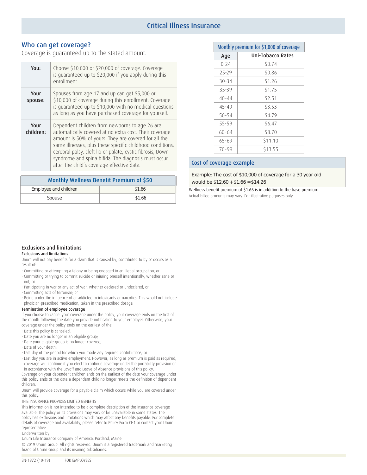## Critical Illness Insurance

#### Who can get coverage?

Coverage is guaranteed up to the stated amount.

| You:              | Choose \$10,000 or \$20,000 of coverage. Coverage<br>is quaranteed up to \$20,000 if you apply during this<br>enrollment.                                                                                                                                                                                                                                                                        |
|-------------------|--------------------------------------------------------------------------------------------------------------------------------------------------------------------------------------------------------------------------------------------------------------------------------------------------------------------------------------------------------------------------------------------------|
| Your<br>spouse:   | Spouses from age 17 and up can get \$5,000 or<br>\$10,000 of coverage during this enrollment. Coverage<br>is guaranteed up to \$10,000 with no medical questions<br>as long as you have purchased coverage for yourself.                                                                                                                                                                         |
| Your<br>children: | Dependent children from newborns to age 26 are<br>automatically covered at no extra cost. Their coverage<br>amount is 50% of yours. They are covered for all the<br>same illnesses, plus these specific childhood conditions:<br>cerebral palsy, cleft lip or palate, cystic fibrosis, Down<br>syndrome and spina bifida. The diagnosis must occur<br>after the child's coverage effective date. |

| Monthly Wellness Benefit Premium of \$50 |        |  |
|------------------------------------------|--------|--|
| Employee and children                    | \$1.66 |  |
| Spouse                                   | \$1.66 |  |

| Monthly premium for \$1,000 of coverage |                          |  |  |
|-----------------------------------------|--------------------------|--|--|
| Age                                     | <b>Uni-Tobacco Rates</b> |  |  |
| $0 - 24$                                | \$0.74                   |  |  |
| 25-29                                   | \$0.86                   |  |  |
| $30 - 34$                               | \$1.26                   |  |  |
| 35-39                                   | \$1.75                   |  |  |
| $40 - 44$                               | \$2.51                   |  |  |
| $45 - 49$                               | \$3.53                   |  |  |
| $50 - 54$                               | \$4.79                   |  |  |
| 55-59                                   | \$6.47                   |  |  |
| 60-64                                   | \$8.70                   |  |  |
| 65-69                                   | \$11.10                  |  |  |
| $70 - 99$                               | \$13.55                  |  |  |

#### Cost of coverage example

would be \$12.60 + \$1.66 = \$14.26 Example: The cost of \$10,000 of coverage for a 30 year old

Wellness benefit premium of \$1.66 is in addition to the base premium Actual billed amounts may vary. For illustrative purposes only.

#### Exclusions and limitations

#### Exclusions and limitations

result of: Unum will not pay benefits for a claim that is caused by, contributed to by or occurs as a

- Committing or attempting a felony or being engaged in an illegal occupation; or
- not; or • Committing or trying to commit suicide or injuring oneself intentionally, whether sane or
- Participating in war or any act of war, whether declared or undeclared; or
- Committing acts of terrorism; or
- physician-prescribed medication, taken in the prescribed dosage • Being under the influence of or addicted to intoxicants or narcotics. This would not include

#### Termination of employee coverage

coverage under the policy ends on the earliest of the: the month following the date you provide notification to your employer. Otherwise, your If you choose to cancel your coverage under the policy, your coverage ends on the first of

- Date this policy is canceled;
- Date you are no longer in an eligible group;
- Date your eligible group is no longer covered;
- Date of your death;
- Last day of the period for which you made any required contributions; or
- in accordance with the Layoff and Leave of Absence provisions of this policy. coverage will continue if you elect to continue coverage under the portability provision or • Last day you are in active employment. However, as long as premium is paid as required,

children. this policy ends or the date a dependent child no longer meets the definition of dependent Coverage on your dependent children ends on the earliest of the date your coverage under

this policy. Unum will provide coverage for a payable claim which occurs while you are covered under

THIS INSURANCE PROVIDES LIMITED BENEFITS

representative. details of coverage and availability, please refer to Policy Form CI-1 or contact your Unum policy has exclusions and imitations which may affect any benefits payable. For complete available. The policy or its provisions may vary or be unavailable in some states. The This information is not intended to be a complete description of the insurance coverage

Underwritten by:

Unum Life Insurance Company of America, Portland, Maine

brand of Unum Group and its insuring subsidiaries. © 2019 Unum Group. All rights reserved. Unum is a registered trademark and marketing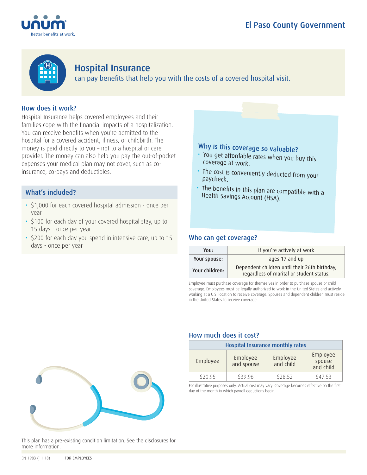



## Hospital Insurance

can pay benefits that help you with the costs of a covered hospital visit.

## How does it work?

Hospital Insurance helps covered employees and their families cope with the financial impacts of a hospitalization. You can receive benefits when you're admitted to the hospital for a covered accident, illness, or childbirth. The money is paid directly to you – not to a hospital or care provider. The money can also help you pay the out-of-pocket expenses your medical plan may not cover, such as coinsurance, co-pays and deductibles.

## What's included?

- \$1,000 for each covered hospital admission once per year
- \$100 for each day of your covered hospital stay, up to 15 days - once per year
- \$200 for each day you spend in intensive care, up to 15 days - once per year

# Why is this coverage so valuable?

- You get affordable rates when you buy this coverage at work.
- The cost is conveniently deducted from your paycheck.
- The benefits in this plan are compatible with a Health Savings Account (HSA).

## Who can get coverage?

| You:           | If you're actively at work                                                                |  |  |
|----------------|-------------------------------------------------------------------------------------------|--|--|
| Your spouse:   | ages 17 and up                                                                            |  |  |
| Your children: | Dependent children until their 26th birthday,<br>regardless of marital or student status. |  |  |

Employee must purchase coverage for themselves in order to purchase spouse or child coverage. Employees must be legally authorized to work in the United States and actively working at a U.S. location to receive coverage. Spouses and dependent children must reside in the United States to receive coverage.



# How much does it cost?

| Hospital Insurance monthly rates |                        |                       |                                 |
|----------------------------------|------------------------|-----------------------|---------------------------------|
| Employee                         | Employee<br>and spouse | Employee<br>and child | Employee<br>spouse<br>and child |
| \$20.95                          | \$39.96                | \$28.52               | \$47.53                         |

For illustrative purposes only. Actual cost may vary. Coverage becomes effective on the first day of the month in which payroll deductions begin.

#### This plan has a pre-existing condition limitation. See the disclosures for more information.